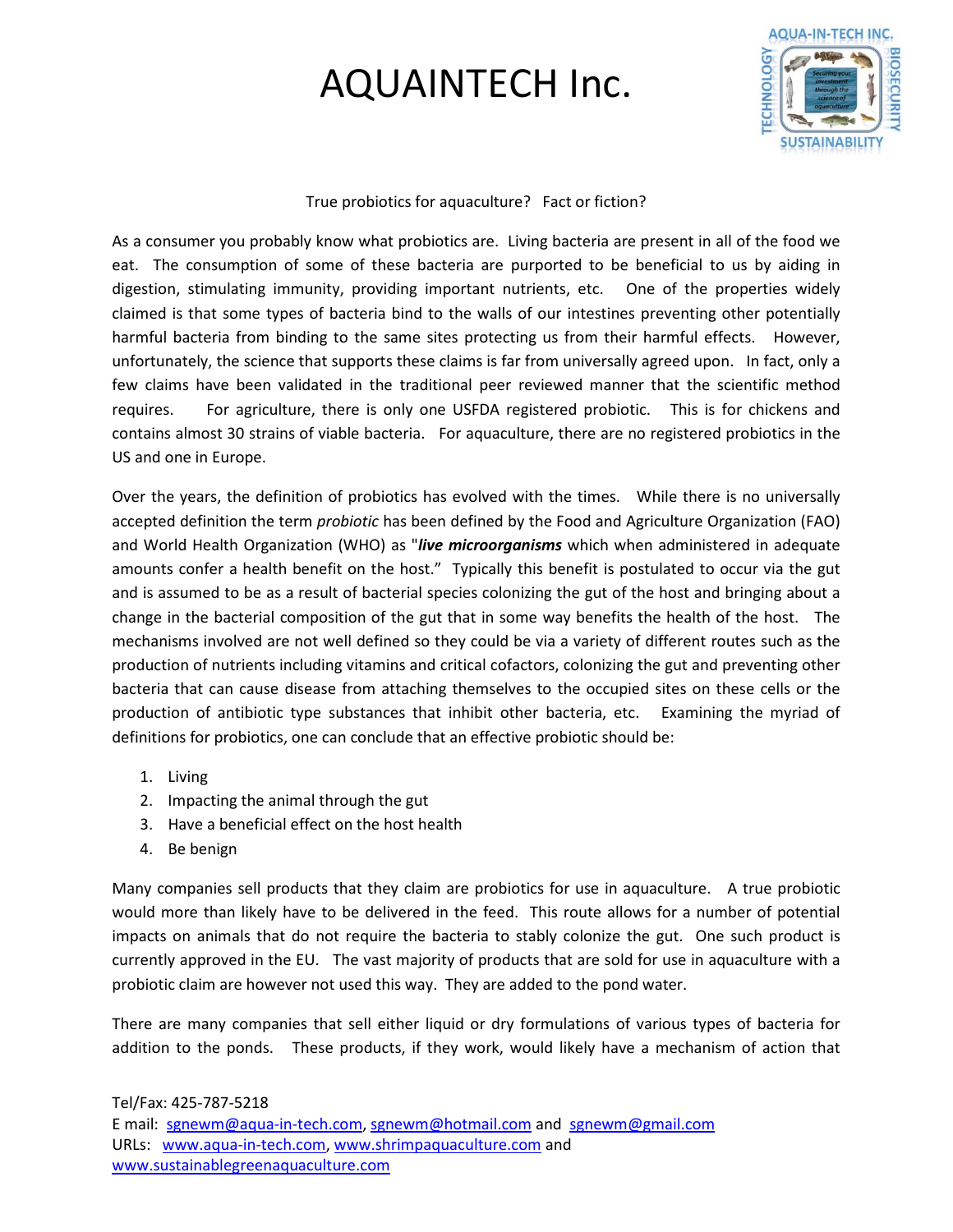

True probiotics for aquaculture? Fact or fiction?

As a consumer you probably know what probiotics are. Living bacteria are present in all of the food we eat. The consumption of some of these bacteria are purported to be beneficial to us by aiding in digestion, stimulating immunity, providing important nutrients, etc. One of the properties widely claimed is that some types of bacteria bind to the walls of our intestines preventing other potentially harmful bacteria from binding to the same sites protecting us from their harmful effects. However, unfortunately, the science that supports these claims is far from universally agreed upon. In fact, only a few claims have been validated in the traditional peer reviewed manner that the scientific method requires. For agriculture, there is only one USFDA registered probiotic. This is for chickens and contains almost 30 strains of viable bacteria. For aquaculture, there are no registered probiotics in the US and one in Europe.

Over the years, the definition of probiotics has evolved with the times. While there is no universally accepted definition the term *probiotic* has been defined by the Food and Agriculture Organization (FAO) and World Health Organization (WHO) as "*live microorganisms* which when administered in adequate amounts confer a health benefit on the host." Typically this benefit is postulated to occur via the gut and is assumed to be as a result of bacterial species colonizing the gut of the host and bringing about a change in the bacterial composition of the gut that in some way benefits the health of the host. The mechanisms involved are not well defined so they could be via a variety of different routes such as the production of nutrients including vitamins and critical cofactors, colonizing the gut and preventing other bacteria that can cause disease from attaching themselves to the occupied sites on these cells or the production of antibiotic type substances that inhibit other bacteria, etc. Examining the myriad of definitions for probiotics, one can conclude that an effective probiotic should be:

- 1. Living
- 2. Impacting the animal through the gut
- 3. Have a beneficial effect on the host health
- 4. Be benign

Many companies sell products that they claim are probiotics for use in aquaculture. A true probiotic would more than likely have to be delivered in the feed. This route allows for a number of potential impacts on animals that do not require the bacteria to stably colonize the gut. One such product is currently approved in the EU. The vast majority of products that are sold for use in aquaculture with a probiotic claim are however not used this way. They are added to the pond water.

There are many companies that sell either liquid or dry formulations of various types of bacteria for addition to the ponds. These products, if they work, would likely have a mechanism of action that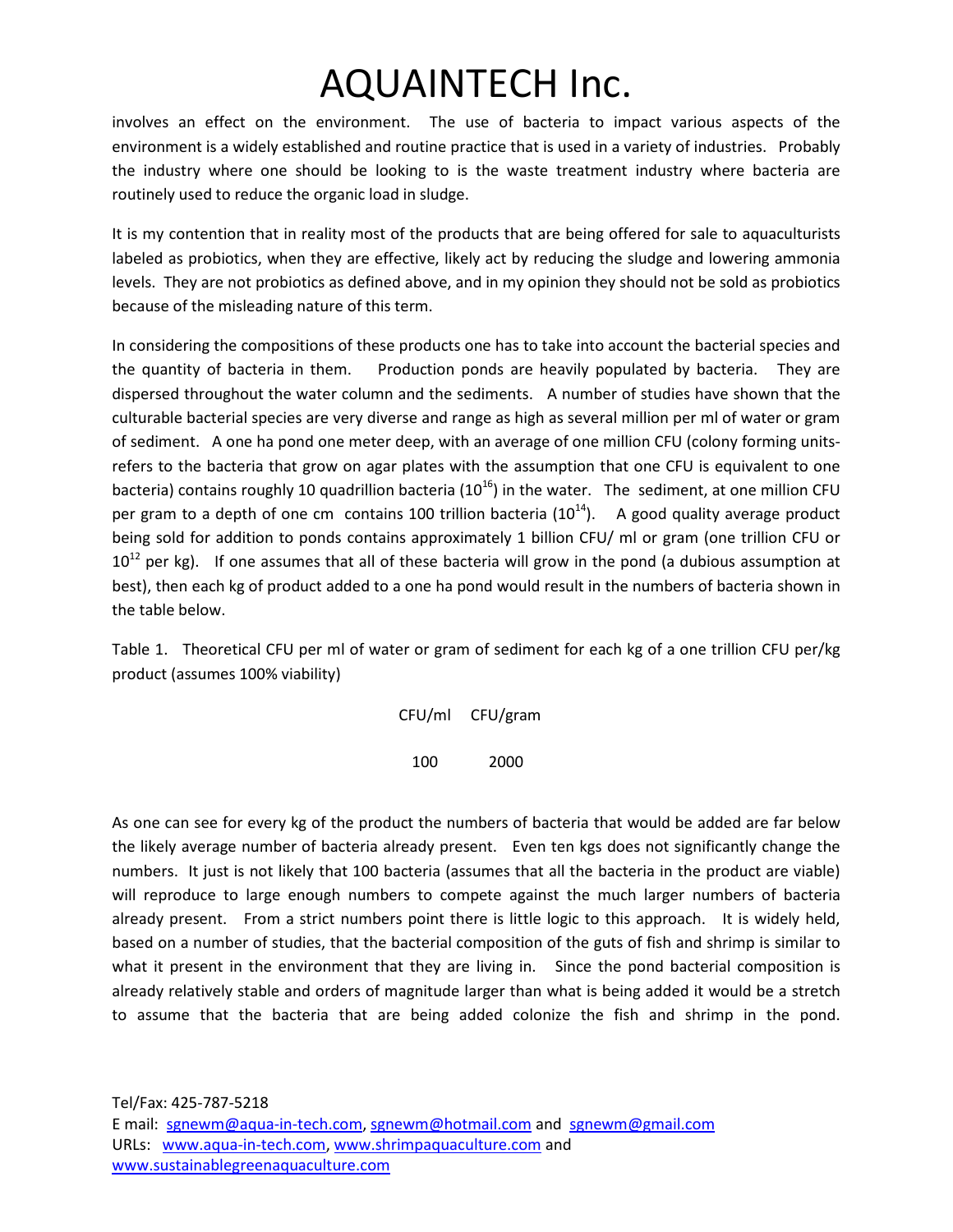involves an effect on the environment. The use of bacteria to impact various aspects of the environment is a widely established and routine practice that is used in a variety of industries. Probably the industry where one should be looking to is the waste treatment industry where bacteria are routinely used to reduce the organic load in sludge.

It is my contention that in reality most of the products that are being offered for sale to aquaculturists labeled as probiotics, when they are effective, likely act by reducing the sludge and lowering ammonia levels. They are not probiotics as defined above, and in my opinion they should not be sold as probiotics because of the misleading nature of this term.

In considering the compositions of these products one has to take into account the bacterial species and the quantity of bacteria in them. Production ponds are heavily populated by bacteria. They are dispersed throughout the water column and the sediments. A number of studies have shown that the culturable bacterial species are very diverse and range as high as several million per ml of water or gram of sediment. A one ha pond one meter deep, with an average of one million CFU (colony forming unitsrefers to the bacteria that grow on agar plates with the assumption that one CFU is equivalent to one bacteria) contains roughly 10 quadrillion bacteria ( $10^{16}$ ) in the water. The sediment, at one million CFU per gram to a depth of one cm contains 100 trillion bacteria  $(10^{14})$ . A good quality average product being sold for addition to ponds contains approximately 1 billion CFU/ ml or gram (one trillion CFU or  $10^{12}$  per kg). If one assumes that all of these bacteria will grow in the pond (a dubious assumption at best), then each kg of product added to a one ha pond would result in the numbers of bacteria shown in the table below.

Table 1. Theoretical CFU per ml of water or gram of sediment for each kg of a one trillion CFU per/kg product (assumes 100% viability)

CFU/ml CFU/gram

100 2000

As one can see for every kg of the product the numbers of bacteria that would be added are far below the likely average number of bacteria already present. Even ten kgs does not significantly change the numbers. It just is not likely that 100 bacteria (assumes that all the bacteria in the product are viable) will reproduce to large enough numbers to compete against the much larger numbers of bacteria already present. From a strict numbers point there is little logic to this approach. It is widely held, based on a number of studies, that the bacterial composition of the guts of fish and shrimp is similar to what it present in the environment that they are living in. Since the pond bacterial composition is already relatively stable and orders of magnitude larger than what is being added it would be a stretch to assume that the bacteria that are being added colonize the fish and shrimp in the pond.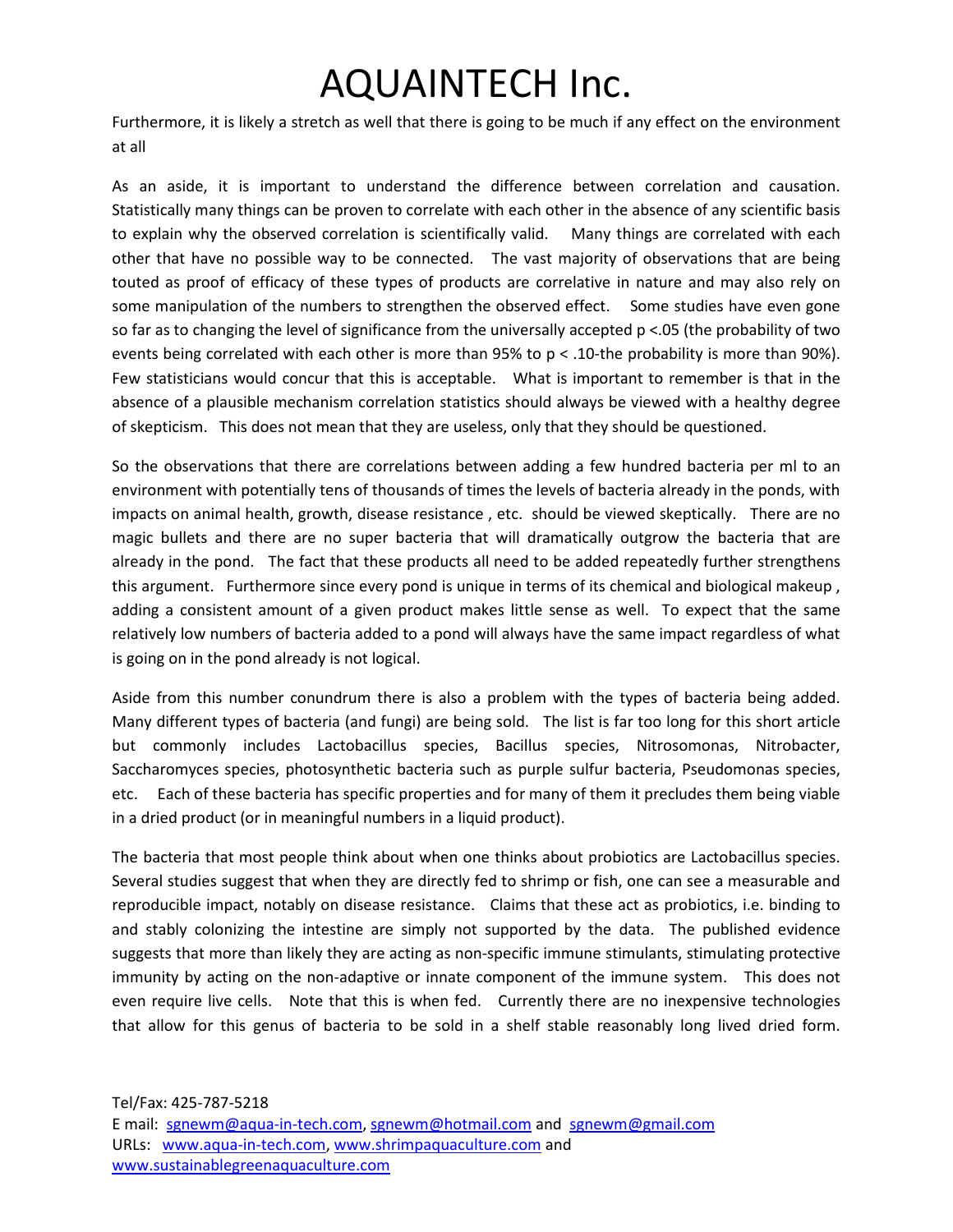Furthermore, it is likely a stretch as well that there is going to be much if any effect on the environment at all

As an aside, it is important to understand the difference between correlation and causation. Statistically many things can be proven to correlate with each other in the absence of any scientific basis to explain why the observed correlation is scientifically valid. Many things are correlated with each other that have no possible way to be connected. The vast majority of observations that are being touted as proof of efficacy of these types of products are correlative in nature and may also rely on some manipulation of the numbers to strengthen the observed effect. Some studies have even gone so far as to changing the level of significance from the universally accepted p <.05 (the probability of two events being correlated with each other is more than 95% to p < .10-the probability is more than 90%). Few statisticians would concur that this is acceptable. What is important to remember is that in the absence of a plausible mechanism correlation statistics should always be viewed with a healthy degree of skepticism. This does not mean that they are useless, only that they should be questioned.

So the observations that there are correlations between adding a few hundred bacteria per ml to an environment with potentially tens of thousands of times the levels of bacteria already in the ponds, with impacts on animal health, growth, disease resistance , etc. should be viewed skeptically. There are no magic bullets and there are no super bacteria that will dramatically outgrow the bacteria that are already in the pond. The fact that these products all need to be added repeatedly further strengthens this argument. Furthermore since every pond is unique in terms of its chemical and biological makeup , adding a consistent amount of a given product makes little sense as well. To expect that the same relatively low numbers of bacteria added to a pond will always have the same impact regardless of what is going on in the pond already is not logical.

Aside from this number conundrum there is also a problem with the types of bacteria being added. Many different types of bacteria (and fungi) are being sold. The list is far too long for this short article but commonly includes Lactobacillus species, Bacillus species, Nitrosomonas, Nitrobacter, Saccharomyces species, photosynthetic bacteria such as purple sulfur bacteria, Pseudomonas species, etc. Each of these bacteria has specific properties and for many of them it precludes them being viable in a dried product (or in meaningful numbers in a liquid product).

The bacteria that most people think about when one thinks about probiotics are Lactobacillus species. Several studies suggest that when they are directly fed to shrimp or fish, one can see a measurable and reproducible impact, notably on disease resistance. Claims that these act as probiotics, i.e. binding to and stably colonizing the intestine are simply not supported by the data. The published evidence suggests that more than likely they are acting as non-specific immune stimulants, stimulating protective immunity by acting on the non-adaptive or innate component of the immune system. This does not even require live cells. Note that this is when fed. Currently there are no inexpensive technologies that allow for this genus of bacteria to be sold in a shelf stable reasonably long lived dried form.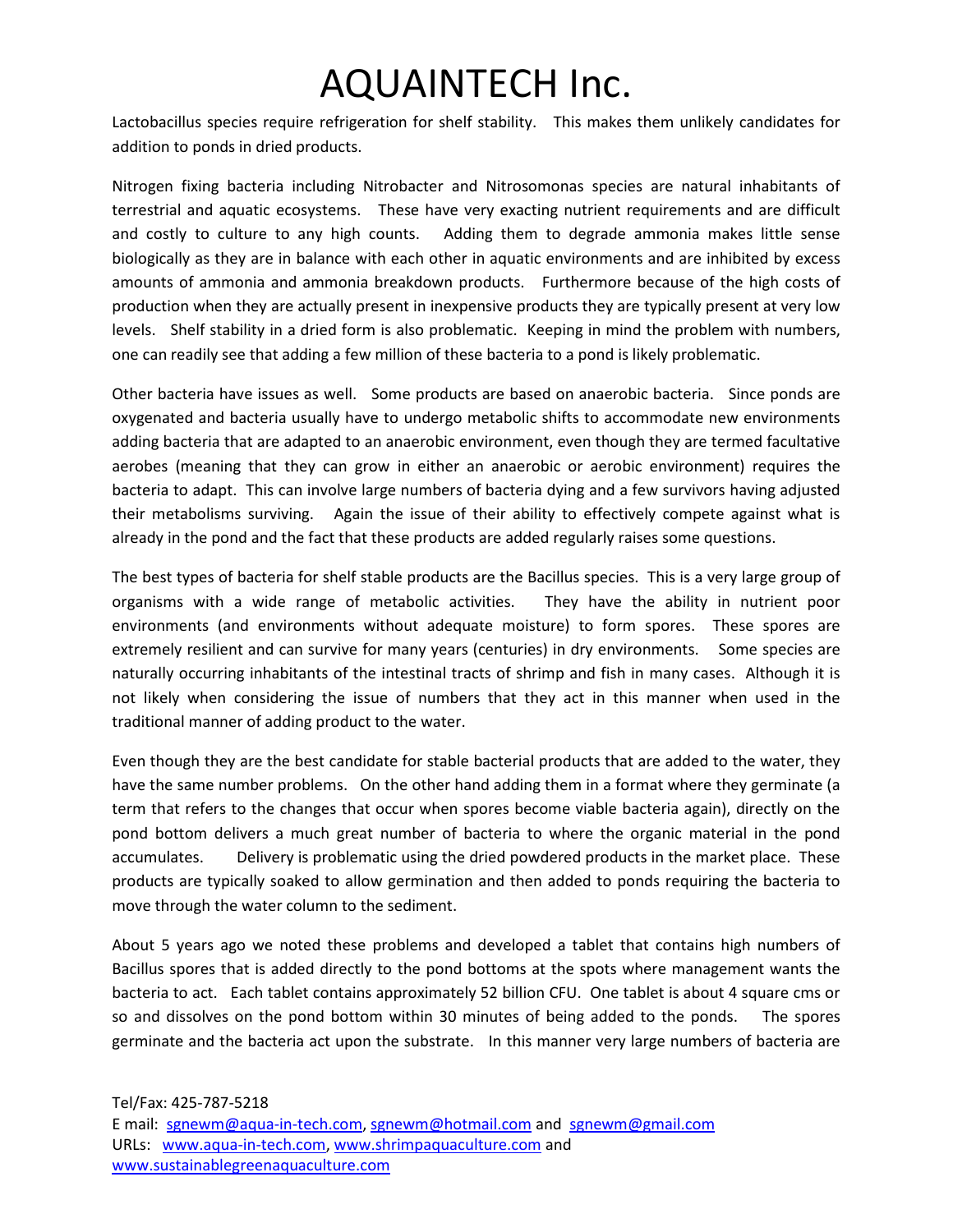Lactobacillus species require refrigeration for shelf stability. This makes them unlikely candidates for addition to ponds in dried products.

Nitrogen fixing bacteria including Nitrobacter and Nitrosomonas species are natural inhabitants of terrestrial and aquatic ecosystems. These have very exacting nutrient requirements and are difficult and costly to culture to any high counts. Adding them to degrade ammonia makes little sense biologically as they are in balance with each other in aquatic environments and are inhibited by excess amounts of ammonia and ammonia breakdown products. Furthermore because of the high costs of production when they are actually present in inexpensive products they are typically present at very low levels. Shelf stability in a dried form is also problematic. Keeping in mind the problem with numbers, one can readily see that adding a few million of these bacteria to a pond is likely problematic.

Other bacteria have issues as well. Some products are based on anaerobic bacteria. Since ponds are oxygenated and bacteria usually have to undergo metabolic shifts to accommodate new environments adding bacteria that are adapted to an anaerobic environment, even though they are termed facultative aerobes (meaning that they can grow in either an anaerobic or aerobic environment) requires the bacteria to adapt. This can involve large numbers of bacteria dying and a few survivors having adjusted their metabolisms surviving. Again the issue of their ability to effectively compete against what is already in the pond and the fact that these products are added regularly raises some questions.

The best types of bacteria for shelf stable products are the Bacillus species. This is a very large group of organisms with a wide range of metabolic activities. They have the ability in nutrient poor environments (and environments without adequate moisture) to form spores. These spores are extremely resilient and can survive for many years (centuries) in dry environments. Some species are naturally occurring inhabitants of the intestinal tracts of shrimp and fish in many cases. Although it is not likely when considering the issue of numbers that they act in this manner when used in the traditional manner of adding product to the water.

Even though they are the best candidate for stable bacterial products that are added to the water, they have the same number problems. On the other hand adding them in a format where they germinate (a term that refers to the changes that occur when spores become viable bacteria again), directly on the pond bottom delivers a much great number of bacteria to where the organic material in the pond accumulates. Delivery is problematic using the dried powdered products in the market place. These products are typically soaked to allow germination and then added to ponds requiring the bacteria to move through the water column to the sediment.

About 5 years ago we noted these problems and developed a tablet that contains high numbers of Bacillus spores that is added directly to the pond bottoms at the spots where management wants the bacteria to act. Each tablet contains approximately 52 billion CFU. One tablet is about 4 square cms or so and dissolves on the pond bottom within 30 minutes of being added to the ponds. The spores germinate and the bacteria act upon the substrate. In this manner very large numbers of bacteria are